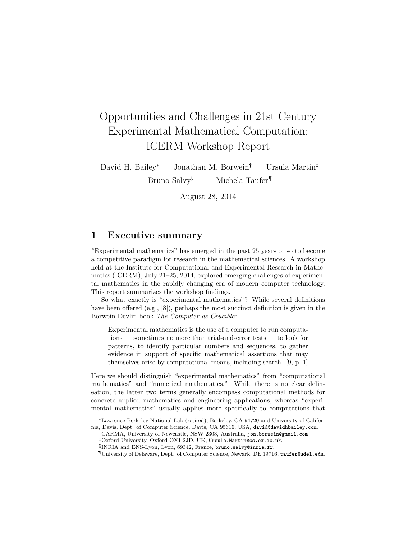# Opportunities and Challenges in 21st Century Experimental Mathematical Computation: ICERM Workshop Report

David H. Bailey<sup>∗</sup> Jonathan M. Borwein† Ursula Martin‡ Bruno Salvy<sup>§</sup> Michela Taufer<sup>¶</sup>

August 28, 2014

## 1 Executive summary

"Experimental mathematics" has emerged in the past 25 years or so to become a competitive paradigm for research in the mathematical sciences. A workshop held at the Institute for Computational and Experimental Research in Mathematics (ICERM), July 21–25, 2014, explored emerging challenges of experimental mathematics in the rapidly changing era of modern computer technology. This report summarizes the workshop findings.

So what exactly is "experimental mathematics"? While several definitions have been offered (e.g., [8]), perhaps the most succinct definition is given in the Borwein-Devlin book The Computer as Crucible:

Experimental mathematics is the use of a computer to run computations — sometimes no more than trial-and-error tests — to look for patterns, to identify particular numbers and sequences, to gather evidence in support of specific mathematical assertions that may themselves arise by computational means, including search. [9, p. 1]

Here we should distinguish "experimental mathematics" from "computational mathematics" and "numerical mathematics." While there is no clear delineation, the latter two terms generally encompass computational methods for concrete applied mathematics and engineering applications, whereas "experimental mathematics" usually applies more specifically to computations that

<sup>∗</sup>Lawrence Berkeley National Lab (retired), Berkeley, CA 94720 and University of California, Davis, Dept. of Computer Science, Davis, CA 95616, USA, david@davidhbailey.com.

<sup>†</sup>CARMA, University of Newcastle, NSW 2303, Australia, jon.borwein@gmail.com

<sup>‡</sup>Oxford University, Oxford OX1 2JD, UK, Ursula.Martin@cs.ox.ac.uk.

<sup>§</sup> INRIA and ENS-Lyon, Lyon, 69342, France, bruno.salvy@inria.fr.

<sup>¶</sup>University of Delaware, Dept. of Computer Science, Newark, DE 19716, taufer@udel.edu.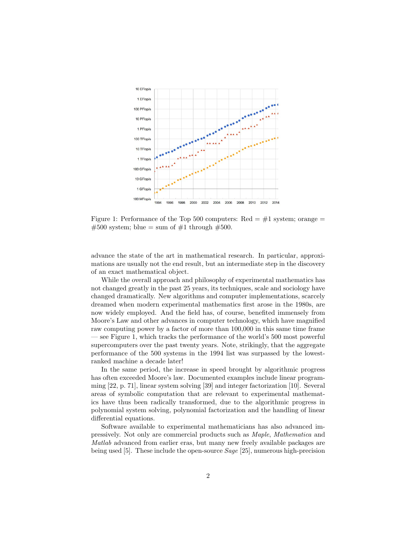

Figure 1: Performance of the Top 500 computers: Red  $=$  #1 system; orange  $=$  $\#500$  system; blue = sum of  $\#1$  through  $\#500$ .

advance the state of the art in mathematical research. In particular, approximations are usually not the end result, but an intermediate step in the discovery of an exact mathematical object.

While the overall approach and philosophy of experimental mathematics has not changed greatly in the past 25 years, its techniques, scale and sociology have changed dramatically. New algorithms and computer implementations, scarcely dreamed when modern experimental mathematics first arose in the 1980s, are now widely employed. And the field has, of course, benefited immensely from Moore's Law and other advances in computer technology, which have magnified raw computing power by a factor of more than 100,000 in this same time frame — see Figure 1, which tracks the performance of the world's 500 most powerful supercomputers over the past twenty years. Note, strikingly, that the aggregate performance of the 500 systems in the 1994 list was surpassed by the lowestranked machine a decade later!

In the same period, the increase in speed brought by algorithmic progress has often exceeded Moore's law. Documented examples include linear programming [22, p. 71], linear system solving [39] and integer factorization [10]. Several areas of symbolic computation that are relevant to experimental mathematics have thus been radically transformed, due to the algorithmic progress in polynomial system solving, polynomial factorization and the handling of linear differential equations.

Software available to experimental mathematicians has also advanced impressively. Not only are commercial products such as Maple, Mathematica and Matlab advanced from earlier eras, but many new freely available packages are being used [5]. These include the open-source Sage [25], numerous high-precision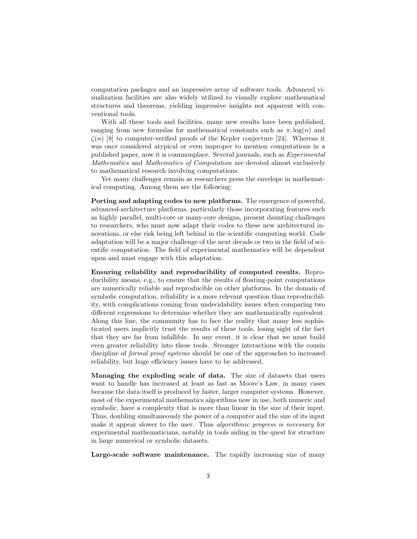computation packages and an impressive array of software tools. Advanced visualization facilities are also widely utilized to visually explore mathematical structures and theorems, yielding impressive insights not apparent with conventional tools.

With all these tools and facilities, many new results have been published, ranging from new formulas for mathematical constants such as  $\pi$ ,  $log(n)$  and  $\zeta(n)$  [8] to computer-verified proofs of the Kepler conjecture [24]. Whereas it was once considered atypical or even improper to mention computations in a published paper, now it is commonplace. Several journals, such as Experimental Mathematics and Mathematics of Computation are devoted almost exclusively to mathematical research involving computations.

Yet many challenges remain as researchers press the envelope in mathematical computing. Among them are the following:

Porting and adapting codes to new platforms. The emergence of powerful, advanced-architecture platforms, particularly those incorporating features such as highly parallel, multi-core or many-core designs, present daunting challenges to researchers, who must now adapt their codes to these new architectural innovations, or else risk being left behind in the scientific computing world. Code adaptation will be a major challenge of the next decade or two in the field of scientific computation. The field of experimental mathematics will be dependent upon and must engage with this adaptation.

Ensuring reliability and reproducibility of computed results. Reproducibility means, e.g., to ensure that the results of floating-point computations are numerically reliable and reproducible on other platforms. In the domain of symbolic computation, reliability is a more relevant question than reproducibility, with complications coming from undecidability issues when comparing two different expressions to determine whether they are mathematically equivalent. Along this line, the community has to face the reality that many less sophisticated users implicitly trust the results of these tools, losing sight of the fact that they are far from infallible. In any event, it is clear that we must build even greater reliability into these tools. Stronger interactions with the cousin discipline of formal proof systems should be one of the approaches to increased reliability, but huge efficiency issues have to be addressed.

Managing the exploding scale of data. The size of datasets that users want to handle has increased at least as fast as Moore's Law, in many cases because the data itself is produced by faster, larger computer systems. However, most of the experimental mathematics algorithms now in use, both numeric and symbolic, have a complexity that is more than linear in the size of their input. Thus, doubling simultaneously the power of a computer and the size of its input make it appear slower to the user. Thus *algorithmic progress is necessary* for experimental mathematicians, notably in tools aiding in the quest for structure in large numerical or symbolic datasets.

Large-scale software maintenance. The rapidly increasing size of many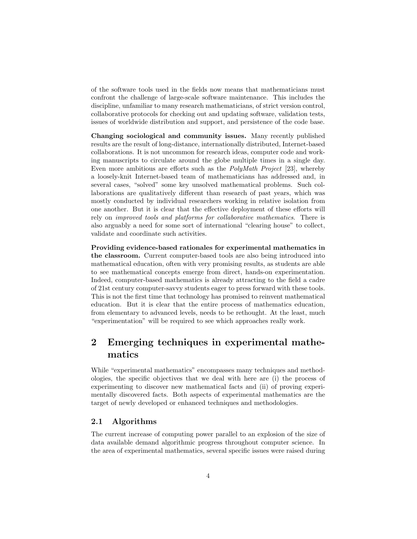of the software tools used in the fields now means that mathematicians must confront the challenge of large-scale software maintenance. This includes the discipline, unfamiliar to many research mathematicians, of strict version control, collaborative protocols for checking out and updating software, validation tests, issues of worldwide distribution and support, and persistence of the code base.

Changing sociological and community issues. Many recently published results are the result of long-distance, internationally distributed, Internet-based collaborations. It is not uncommon for research ideas, computer code and working manuscripts to circulate around the globe multiple times in a single day. Even more ambitious are efforts such as the PolyMath Project [23], whereby a loosely-knit Internet-based team of mathematicians has addressed and, in several cases, "solved" some key unsolved mathematical problems. Such collaborations are qualitatively different than research of past years, which was mostly conducted by individual researchers working in relative isolation from one another. But it is clear that the effective deployment of these efforts will rely on improved tools and platforms for collaborative mathematics. There is also arguably a need for some sort of international "clearing house" to collect, validate and coordinate such activities.

Providing evidence-based rationales for experimental mathematics in the classroom. Current computer-based tools are also being introduced into mathematical education, often with very promising results, as students are able to see mathematical concepts emerge from direct, hands-on experimentation. Indeed, computer-based mathematics is already attracting to the field a cadre of 21st century computer-savvy students eager to press forward with these tools. This is not the first time that technology has promised to reinvent mathematical education. But it is clear that the entire process of mathematics education, from elementary to advanced levels, needs to be rethought. At the least, much "experimentation" will be required to see which approaches really work.

## 2 Emerging techniques in experimental mathematics

While "experimental mathematics" encompasses many techniques and methodologies, the specific objectives that we deal with here are (i) the process of experimenting to discover new mathematical facts and (ii) of proving experimentally discovered facts. Both aspects of experimental mathematics are the target of newly developed or enhanced techniques and methodologies.

#### 2.1 Algorithms

The current increase of computing power parallel to an explosion of the size of data available demand algorithmic progress throughout computer science. In the area of experimental mathematics, several specific issues were raised during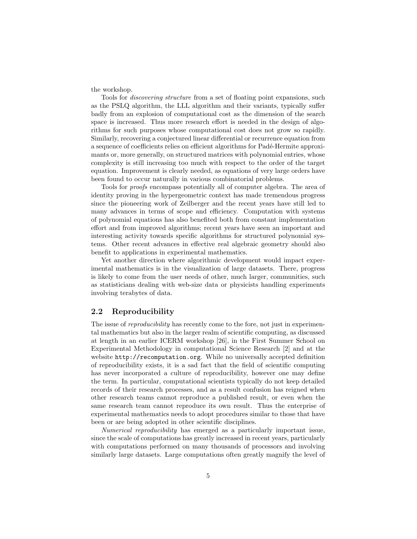the workshop.

Tools for discovering structure from a set of floating point expansions, such as the PSLQ algorithm, the LLL algorithm and their variants, typically suffer badly from an explosion of computational cost as the dimension of the search space is increased. Thus more research effort is needed in the design of algorithms for such purposes whose computational cost does not grow so rapidly. Similarly, recovering a conjectured linear differential or recurrence equation from a sequence of coefficients relies on efficient algorithms for Padé-Hermite approximants or, more generally, on structured matrices with polynomial entries, whose complexity is still increasing too much with respect to the order of the target equation. Improvement is clearly needed, as equations of very large orders have been found to occur naturally in various combinatorial problems.

Tools for proofs encompass potentially all of computer algebra. The area of identity proving in the hypergeometric context has made tremendous progress since the pioneering work of Zeilberger and the recent years have still led to many advances in terms of scope and efficiency. Computation with systems of polynomial equations has also benefited both from constant implementation effort and from improved algorithms; recent years have seen an important and interesting activity towards specific algorithms for structured polynomial systems. Other recent advances in effective real algebraic geometry should also benefit to applications in experimental mathematics.

Yet another direction where algorithmic development would impact experimental mathematics is in the visualization of large datasets. There, progress is likely to come from the user needs of other, much larger, communities, such as statisticians dealing with web-size data or physicists handling experiments involving terabytes of data.

#### 2.2 Reproducibility

The issue of *reproducibility* has recently come to the fore, not just in experimental mathematics but also in the larger realm of scientific computing, as discussed at length in an earlier ICERM workshop [26], in the First Summer School on Experimental Methodology in computational Science Research [2] and at the website http://recomputation.org. While no universally accepted definition of reproducibility exists, it is a sad fact that the field of scientific computing has never incorporated a culture of reproducibility, however one may define the term. In particular, computational scientists typically do not keep detailed records of their research processes, and as a result confusion has reigned when other research teams cannot reproduce a published result, or even when the same research team cannot reproduce its own result. Thus the enterprise of experimental mathematics needs to adopt procedures similar to those that have been or are being adopted in other scientific disciplines.

Numerical reproducibility has emerged as a particularly important issue, since the scale of computations has greatly increased in recent years, particularly with computations performed on many thousands of processors and involving similarly large datasets. Large computations often greatly magnify the level of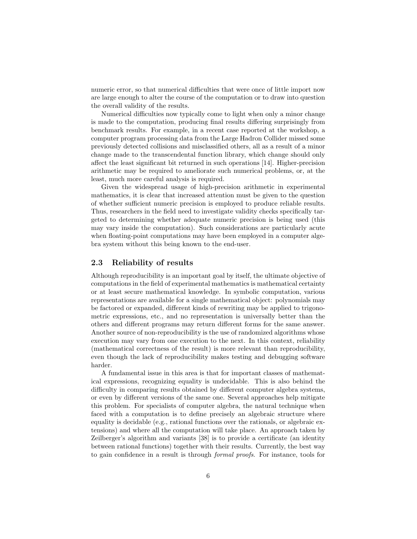numeric error, so that numerical difficulties that were once of little import now are large enough to alter the course of the computation or to draw into question the overall validity of the results.

Numerical difficulties now typically come to light when only a minor change is made to the computation, producing final results differing surprisingly from benchmark results. For example, in a recent case reported at the workshop, a computer program processing data from the Large Hadron Collider missed some previously detected collisions and misclassified others, all as a result of a minor change made to the transcendental function library, which change should only affect the least significant bit returned in such operations [14]. Higher-precision arithmetic may be required to ameliorate such numerical problems, or, at the least, much more careful analysis is required.

Given the widespread usage of high-precision arithmetic in experimental mathematics, it is clear that increased attention must be given to the question of whether sufficient numeric precision is employed to produce reliable results. Thus, researchers in the field need to investigate validity checks specifically targeted to determining whether adequate numeric precision is being used (this may vary inside the computation). Such considerations are particularly acute when floating-point computations may have been employed in a computer algebra system without this being known to the end-user.

#### 2.3 Reliability of results

Although reproducibility is an important goal by itself, the ultimate objective of computations in the field of experimental mathematics is mathematical certainty or at least secure mathematical knowledge. In symbolic computation, various representations are available for a single mathematical object: polynomials may be factored or expanded, different kinds of rewriting may be applied to trigonometric expressions, etc., and no representation is universally better than the others and different programs may return different forms for the same answer. Another source of non-reproducibility is the use of randomized algorithms whose execution may vary from one execution to the next. In this context, reliability (mathematical correctness of the result) is more relevant than reproducibility, even though the lack of reproducibility makes testing and debugging software harder.

A fundamental issue in this area is that for important classes of mathematical expressions, recognizing equality is undecidable. This is also behind the difficulty in comparing results obtained by different computer algebra systems, or even by different versions of the same one. Several approaches help mitigate this problem. For specialists of computer algebra, the natural technique when faced with a computation is to define precisely an algebraic structure where equality is decidable (e.g., rational functions over the rationals, or algebraic extensions) and where all the computation will take place. An approach taken by Zeilberger's algorithm and variants [38] is to provide a certificate (an identity between rational functions) together with their results. Currently, the best way to gain confidence in a result is through formal proofs. For instance, tools for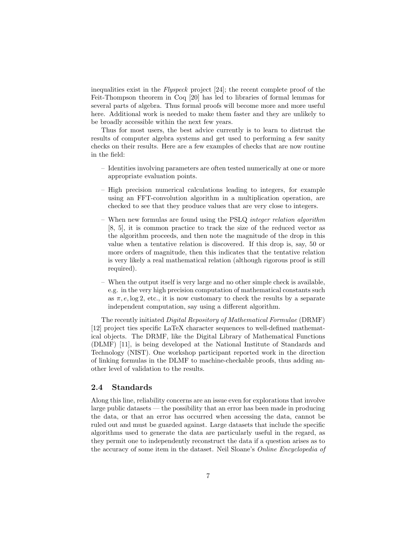inequalities exist in the Flyspeck project [24]; the recent complete proof of the Feit-Thompson theorem in Coq [20] has led to libraries of formal lemmas for several parts of algebra. Thus formal proofs will become more and more useful here. Additional work is needed to make them faster and they are unlikely to be broadly accessible within the next few years.

Thus for most users, the best advice currently is to learn to distrust the results of computer algebra systems and get used to performing a few sanity checks on their results. Here are a few examples of checks that are now routine in the field:

- Identities involving parameters are often tested numerically at one or more appropriate evaluation points.
- High precision numerical calculations leading to integers, for example using an FFT-convolution algorithm in a multiplication operation, are checked to see that they produce values that are very close to integers.
- When new formulas are found using the PSLQ integer relation algorithm [8, 5], it is common practice to track the size of the reduced vector as the algorithm proceeds, and then note the magnitude of the drop in this value when a tentative relation is discovered. If this drop is, say, 50 or more orders of magnitude, then this indicates that the tentative relation is very likely a real mathematical relation (although rigorous proof is still required).
- When the output itself is very large and no other simple check is available, e.g. in the very high precision computation of mathematical constants such as  $\pi$ , e, log 2, etc., it is now customary to check the results by a separate independent computation, say using a different algorithm.

The recently initiated Digital Repository of Mathematical Formulae (DRMF) [12] project ties specific LaTeX character sequences to well-defined mathematical objects. The DRMF, like the Digital Library of Mathematical Functions (DLMF) [11], is being developed at the National Institute of Standards and Technology (NIST). One workshop participant reported work in the direction of linking formulas in the DLMF to machine-checkable proofs, thus adding another level of validation to the results.

#### 2.4 Standards

Along this line, reliability concerns are an issue even for explorations that involve large public datasets — the possibility that an error has been made in producing the data, or that an error has occurred when accessing the data, cannot be ruled out and must be guarded against. Large datasets that include the specific algorithms used to generate the data are particularly useful in the regard, as they permit one to independently reconstruct the data if a question arises as to the accuracy of some item in the dataset. Neil Sloane's Online Encyclopedia of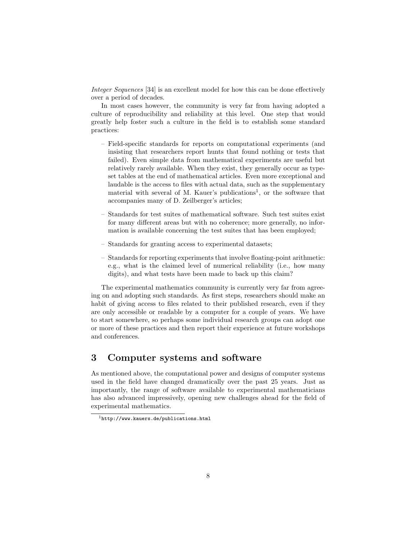Integer Sequences [34] is an excellent model for how this can be done effectively over a period of decades.

In most cases however, the community is very far from having adopted a culture of reproducibility and reliability at this level. One step that would greatly help foster such a culture in the field is to establish some standard practices:

- Field-specific standards for reports on computational experiments (and insisting that researchers report hunts that found nothing or tests that failed). Even simple data from mathematical experiments are useful but relatively rarely available. When they exist, they generally occur as typeset tables at the end of mathematical articles. Even more exceptional and laudable is the access to files with actual data, such as the supplementary material with several of M. Kauer's publications<sup>1</sup>, or the software that accompanies many of D. Zeilberger's articles;
- Standards for test suites of mathematical software. Such test suites exist for many different areas but with no coherence; more generally, no information is available concerning the test suites that has been employed;
- Standards for granting access to experimental datasets;
- Standards for reporting experiments that involve floating-point arithmetic: e.g., what is the claimed level of numerical reliability (i.e., how many digits), and what tests have been made to back up this claim?

The experimental mathematics community is currently very far from agreeing on and adopting such standards. As first steps, researchers should make an habit of giving access to files related to their published research, even if they are only accessible or readable by a computer for a couple of years. We have to start somewhere, so perhaps some individual research groups can adopt one or more of these practices and then report their experience at future workshops and conferences.

## 3 Computer systems and software

As mentioned above, the computational power and designs of computer systems used in the field have changed dramatically over the past 25 years. Just as importantly, the range of software available to experimental mathematicians has also advanced impressively, opening new challenges ahead for the field of experimental mathematics.

 $1$ http://www.kauers.de/publications.html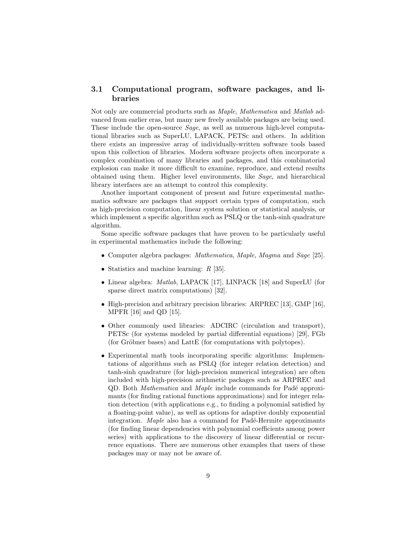#### 3.1 Computational program, software packages, and libraries

Not only are commercial products such as Maple, Mathematica and Matlab advanced from earlier eras, but many new freely available packages are being used. These include the open-source Sage, as well as numerous high-level computational libraries such as SuperLU, LAPACK, PETSc and others. In addition there exists an impressive array of individually-written software tools based upon this collection of libraries. Modern software projects often incorporate a complex combination of many libraries and packages, and this combinatorial explosion can make it more difficult to examine, reproduce, and extend results obtained using them. Higher level environments, like Sage, and hierarchical library interfaces are an attempt to control this complexity.

Another important component of present and future experimental mathematics software are packages that support certain types of computation, such as high-precision computation, linear system solution or statistical analysis, or which implement a specific algorithm such as  $PSLQ$  or the tanh-sinh quadrature algorithm.

Some specific software packages that have proven to be particularly useful in experimental mathematics include the following:

- Computer algebra packages: *Mathematica, Maple, Magma* and *Sage* [25].
- Statistics and machine learning:  $R$  [35].
- Linear algebra: Matlab, LAPACK [17], LINPACK [18] and SuperLU (for sparse direct matrix computations) [32].
- High-precision and arbitrary precision libraries: ARPREC [13], GMP [16], MPFR [16] and QD [15].
- Other commonly used libraries: ADCIRC (circulation and transport), PETSc (for systems modeled by partial differential equations) [29], FGb  $($ for Gröbner bases) and LattE  $($ for computations with polytopes $).$
- Experimental math tools incorporating specific algorithms: Implementations of algorithms such as PSLQ (for integer relation detection) and tanh-sinh quadrature (for high-precision numerical integration) are often included with high-precision arithmetic packages such as ARPREC and QD. Both *Mathematica* and *Maple* include commands for Padé approximants (for finding rational functions approximations) and for integer relation detection (with applications e.g., to finding a polynomial satisfied by a floating-point value), as well as options for adaptive doubly exponential integration. Maple also has a command for Padé-Hermite approximants (for finding linear dependencies with polynomial coefficients among power series) with applications to the discovery of linear differential or recurrence equations. There are numerous other examples that users of these packages may or may not be aware of.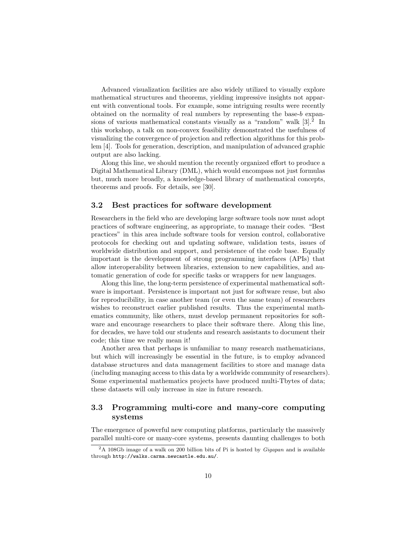Advanced visualization facilities are also widely utilized to visually explore mathematical structures and theorems, yielding impressive insights not apparent with conventional tools. For example, some intriguing results were recently obtained on the normality of real numbers by representing the base-b expansions of various mathematical constants visually as a "random" walk  $[3]$ .<sup>2</sup> In this workshop, a talk on non-convex feasibility demonstrated the usefulness of visualizing the convergence of projection and reflection algorithms for this problem [4]. Tools for generation, description, and manipulation of advanced graphic output are also lacking.

Along this line, we should mention the recently organized effort to produce a Digital Mathematical Library (DML), which would encompass not just formulas but, much more broadly, a knowledge-based library of mathematical concepts, theorems and proofs. For details, see [30].

#### 3.2 Best practices for software development

Researchers in the field who are developing large software tools now must adopt practices of software engineering, as appropriate, to manage their codes. "Best practices" in this area include software tools for version control, collaborative protocols for checking out and updating software, validation tests, issues of worldwide distribution and support, and persistence of the code base. Equally important is the development of strong programming interfaces (APIs) that allow interoperability between libraries, extension to new capabilities, and automatic generation of code for specific tasks or wrappers for new languages.

Along this line, the long-term persistence of experimental mathematical software is important. Persistence is important not just for software reuse, but also for reproducibility, in case another team (or even the same team) of researchers wishes to reconstruct earlier published results. Thus the experimental mathematics community, like others, must develop permanent repositories for software and encourage researchers to place their software there. Along this line, for decades, we have told our students and research assistants to document their code; this time we really mean it!

Another area that perhaps is unfamiliar to many research mathematicians, but which will increasingly be essential in the future, is to employ advanced database structures and data management facilities to store and manage data (including managing access to this data by a worldwide community of researchers). Some experimental mathematics projects have produced multi-Tbytes of data; these datasets will only increase in size in future research.

### 3.3 Programming multi-core and many-core computing systems

The emergence of powerful new computing platforms, particularly the massively parallel multi-core or many-core systems, presents daunting challenges to both

 $2A$  108Gb image of a walk on 200 billion bits of Pi is hosted by *Gigapan* and is available through http://walks.carma.newcastle.edu.au/.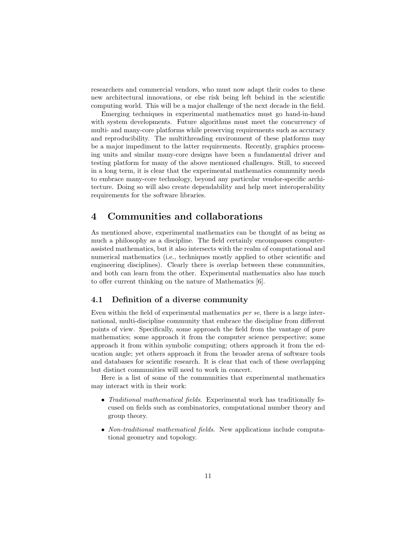researchers and commercial vendors, who must now adapt their codes to these new architectural innovations, or else risk being left behind in the scientific computing world. This will be a major challenge of the next decade in the field.

Emerging techniques in experimental mathematics must go hand-in-hand with system developments. Future algorithms must meet the concurrency of multi- and many-core platforms while preserving requirements such as accuracy and reproducibility. The multithreading environment of these platforms may be a major impediment to the latter requirements. Recently, graphics processing units and similar many-core designs have been a fundamental driver and testing platform for many of the above mentioned challenges. Still, to succeed in a long term, it is clear that the experimental mathematics community needs to embrace many-core technology, beyond any particular vendor-specific architecture. Doing so will also create dependability and help meet interoperability requirements for the software libraries.

## 4 Communities and collaborations

As mentioned above, experimental mathematics can be thought of as being as much a philosophy as a discipline. The field certainly encompasses computerassisted mathematics, but it also intersects with the realm of computational and numerical mathematics (i.e., techniques mostly applied to other scientific and engineering disciplines). Clearly there is overlap between these communities, and both can learn from the other. Experimental mathematics also has much to offer current thinking on the nature of Mathematics [6].

#### 4.1 Definition of a diverse community

Even within the field of experimental mathematics per se, there is a large international, multi-discipline community that embrace the discipline from different points of view. Specifically, some approach the field from the vantage of pure mathematics; some approach it from the computer science perspective; some approach it from within symbolic computing; others approach it from the education angle; yet others approach it from the broader arena of software tools and databases for scientific research. It is clear that each of these overlapping but distinct communities will need to work in concert.

Here is a list of some of the communities that experimental mathematics may interact with in their work:

- Traditional mathematical fields. Experimental work has traditionally focused on fields such as combinatorics, computational number theory and group theory.
- Non-traditional mathematical fields. New applications include computational geometry and topology.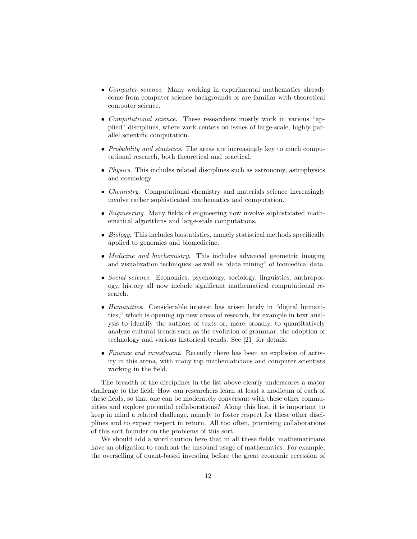- Computer science. Many working in experimental mathematics already come from computer science backgrounds or are familiar with theoretical computer science.
- Computational science. These researchers mostly work in various "applied" disciplines, where work centers on issues of large-scale, highly parallel scientific computation.
- *Probability and statistics*. The areas are increasingly key to much computational research, both theoretical and practical.
- *Physics*. This includes related disciplines such as astronomy, astrophysics and cosmology.
- *Chemistry*. Computational chemistry and materials science increasingly involve rather sophisticated mathematics and computation.
- *Engineering*. Many fields of engineering now involve sophisticated mathematical algorithms and large-scale computations.
- Biology. This includes biostatistics, namely statistical methods specifically applied to genomics and biomedicine.
- *Medicine and biochemistry*. This includes advanced geometric imaging and visualization techniques, as well as "data mining" of biomedical data.
- Social science. Economics, psychology, sociology, linguistics, anthropology, history all now include significant mathematical computational research.
- Humanities. Considerable interest has arisen lately in "digital humanities," which is opening up new areas of research, for example in text analysis to identify the authors of texts or, more broadly, to quantitatively analyze cultural trends such as the evolution of grammar, the adoption of technology and various historical trends. See [21] for details.
- Finance and investment. Recently there has been an explosion of activity in this arena, with many top mathematicians and computer scientists working in the field.

The breadth of the disciplines in the list above clearly underscores a major challenge to the field: How can researchers learn at least a modicum of each of these fields, so that one can be moderately conversant with these other communities and explore potential collaborations? Along this line, it is important to keep in mind a related challenge, namely to foster respect for these other disciplines and to expect respect in return. All too often, promising collaborations of this sort founder on the problems of this sort.

We should add a word caution here that in all these fields, mathematicians have an obligation to confront the unsound usage of mathematics. For example, the overselling of quant-based investing before the great economic recession of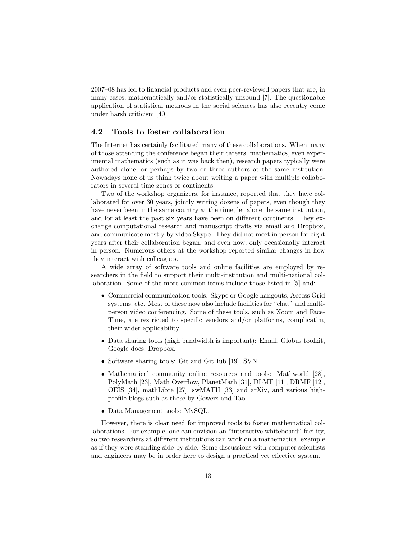2007–08 has led to financial products and even peer-reviewed papers that are, in many cases, mathematically and/or statistically unsound [7]. The questionable application of statistical methods in the social sciences has also recently come under harsh criticism [40].

#### 4.2 Tools to foster collaboration

The Internet has certainly facilitated many of these collaborations. When many of those attending the conference began their careers, mathematics, even experimental mathematics (such as it was back then), research papers typically were authored alone, or perhaps by two or three authors at the same institution. Nowadays none of us think twice about writing a paper with multiple collaborators in several time zones or continents.

Two of the workshop organizers, for instance, reported that they have collaborated for over 30 years, jointly writing dozens of papers, even though they have never been in the same country at the time, let alone the same institution, and for at least the past six years have been on different continents. They exchange computational research and manuscript drafts via email and Dropbox, and communicate mostly by video Skype. They did not meet in person for eight years after their collaboration began, and even now, only occasionally interact in person. Numerous others at the workshop reported similar changes in how they interact with colleagues.

A wide array of software tools and online facilities are employed by researchers in the field to support their multi-institution and multi-national collaboration. Some of the more common items include those listed in [5] and:

- Commercial communication tools: Skype or Google hangouts, Access Grid systems, etc. Most of these now also include facilities for "chat" and multiperson video conferencing. Some of these tools, such as Xoom and Face-Time, are restricted to specific vendors and/or platforms, complicating their wider applicability.
- Data sharing tools (high bandwidth is important): Email, Globus toolkit, Google docs, Dropbox.
- Software sharing tools: Git and GitHub [19], SVN.
- Mathematical community online resources and tools: Mathworld [28], PolyMath [23], Math Overflow, PlanetMath [31], DLMF [11], DRMF [12], OEIS [34], mathLibre [27], swMATH [33] and arXiv, and various highprofile blogs such as those by Gowers and Tao.
- Data Management tools: MySQL.

However, there is clear need for improved tools to foster mathematical collaborations. For example, one can envision an "interactive whiteboard" facility, so two researchers at different institutions can work on a mathematical example as if they were standing side-by-side. Some discussions with computer scientists and engineers may be in order here to design a practical yet effective system.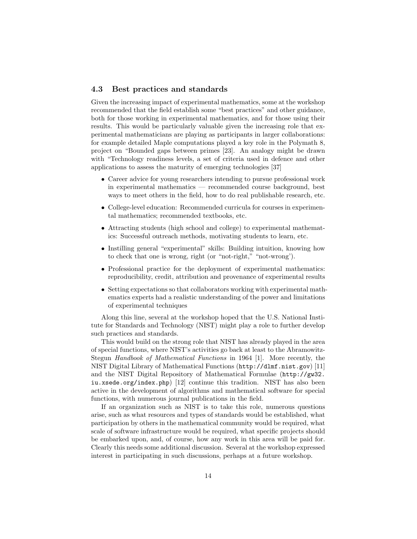#### 4.3 Best practices and standards

Given the increasing impact of experimental mathematics, some at the workshop recommended that the field establish some "best practices" and other guidance, both for those working in experimental mathematics, and for those using their results. This would be particularly valuable given the increasing role that experimental mathematicians are playing as participants in larger collaborations: for example detailed Maple computations played a key role in the Polymath 8, project on "Bounded gaps between primes [23]. An analogy might be drawn with "Technology readiness levels, a set of criteria used in defence and other applications to assess the maturity of emerging technologies [37]

- Career advice for young researchers intending to pursue professional work in experimental mathematics — recommended course background, best ways to meet others in the field, how to do real publishable research, etc.
- College-level education: Recommended curricula for courses in experimental mathematics; recommended textbooks, etc.
- Attracting students (high school and college) to experimental mathematics: Successful outreach methods, motivating students to learn, etc.
- Instilling general "experimental" skills: Building intuition, knowing how to check that one is wrong, right (or "not-right," "not-wrong').
- Professional practice for the deployment of experimental mathematics: reproducibility, credit, attribution and provenance of experimental results
- Setting expectations so that collaborators working with experimental mathematics experts had a realistic understanding of the power and limitations of experimental techniques

Along this line, several at the workshop hoped that the U.S. National Institute for Standards and Technology (NIST) might play a role to further develop such practices and standards.

This would build on the strong role that NIST has already played in the area of special functions, where NIST's activities go back at least to the Abramowitz-Stegun Handbook of Mathematical Functions in 1964 [1]. More recently, the NIST Digital Library of Mathematical Functions (http://dlmf.nist.gov) [11] and the NIST Digital Repository of Mathematical Formulae (http://gw32. iu.xsede.org/index.php) [12] continue this tradition. NIST has also been active in the development of algorithms and mathematical software for special functions, with numerous journal publications in the field.

If an organization such as NIST is to take this role, numerous questions arise, such as what resources and types of standards would be established, what participation by others in the mathematical community would be required, what scale of software infrastructure would be required, what specific projects should be embarked upon, and, of course, how any work in this area will be paid for. Clearly this needs some additional discussion. Several at the workshop expressed interest in participating in such discussions, perhaps at a future workshop.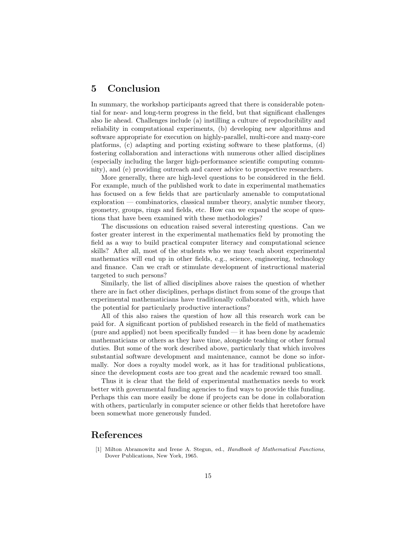## 5 Conclusion

In summary, the workshop participants agreed that there is considerable potential for near- and long-term progress in the field, but that significant challenges also lie ahead. Challenges include (a) instilling a culture of reproducibility and reliability in computational experiments, (b) developing new algorithms and software appropriate for execution on highly-parallel, multi-core and many-core platforms, (c) adapting and porting existing software to these platforms, (d) fostering collaboration and interactions with numerous other allied disciplines (especially including the larger high-performance scientific computing community), and (e) providing outreach and career advice to prospective researchers.

More generally, there are high-level questions to be considered in the field. For example, much of the published work to date in experimental mathematics has focused on a few fields that are particularly amenable to computational exploration — combinatorics, classical number theory, analytic number theory, geometry, groups, rings and fields, etc. How can we expand the scope of questions that have been examined with these methodologies?

The discussions on education raised several interesting questions. Can we foster greater interest in the experimental mathematics field by promoting the field as a way to build practical computer literacy and computational science skills? After all, most of the students who we may teach about experimental mathematics will end up in other fields, e.g., science, engineering, technology and finance. Can we craft or stimulate development of instructional material targeted to such persons?

Similarly, the list of allied disciplines above raises the question of whether there are in fact other disciplines, perhaps distinct from some of the groups that experimental mathematicians have traditionally collaborated with, which have the potential for particularly productive interactions?

All of this also raises the question of how all this research work can be paid for. A significant portion of published research in the field of mathematics (pure and applied) not been specifically funded — it has been done by academic mathematicians or others as they have time, alongside teaching or other formal duties. But some of the work described above, particularly that which involves substantial software development and maintenance, cannot be done so informally. Nor does a royalty model work, as it has for traditional publications, since the development costs are too great and the academic reward too small.

Thus it is clear that the field of experimental mathematics needs to work better with governmental funding agencies to find ways to provide this funding. Perhaps this can more easily be done if projects can be done in collaboration with others, particularly in computer science or other fields that heretofore have been somewhat more generously funded.

## References

[1] Milton Abramowitz and Irene A. Stegun, ed., Handbook of Mathematical Functions, Dover Publications, New York, 1965.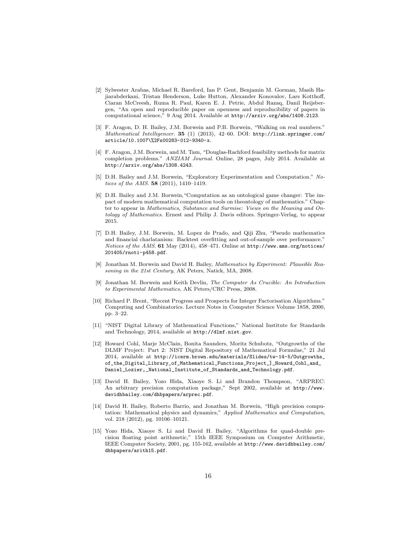- [2] Sylwester Arabas, Michael R. Bareford, Ian P. Gent, Benjamin M. Gorman, Masih Hajiarabderkani, Tristan Henderson, Luke Hutton, Alexander Konovalov, Lars Kotthoff, Ciaran McCreesh, Ruma R. Paul, Karen E. J. Petrie, Abdul Razaq, Danil Reijsbergen, "An open and reproducible paper on openness and reproducibility of papers in computational science," 9 Aug 2014. Available at http://arxiv.org/abs/1408.2123.
- [3] F. Aragon, D. H. Bailey, J.M. Borwein and P.B. Borwein, "Walking on real numbers." Mathematical Intelligencer. 35 (1) (2013), 42–60. DOI: http://link.springer.com/ article/10.1007\%2Fs00283-012-9340-x.
- [4] F. Aragon, J.M. Borwein, and M. Tam, "Douglas-Rachford feasibility methods for matrix completion problems." ANZIAM Journal. Online, 28 pages, July 2014. Available at http://arxiv.org/abs/1308.4243.
- [5] D.H. Bailey and J.M. Borwein, "Exploratory Experimentation and Computation." Notices of the AMS. 58 (2011), 1410–1419.
- [6] D.H. Bailey and J.M. Borwein,"Computation as an ontological game changer: The impact of modern mathematical computation tools on theontology of mathematics." Chapter to appear in Mathematics, Substance and Surmise: Views on the Meaning and Ontology of Mathematics. Ernest and Philip J. Davis editors. Springer-Verlag, to appear 2015.
- [7] D.H. Bailey, J.M. Borwein, M. Lopez de Prado, and Qiji Zhu, "Pseudo mathematics and financial charlatanism: Backtest overfitting and out-of-sample over performance." Notices of the AMS. 61 May (2014), 458-471. Online at http://www.ams.org/notices/ 201405/rnoti-p458.pdf.
- [8] Jonathan M. Borwein and David H. Bailey, Mathematics by Experiment: Plausible Reasoning in the 21st Century, AK Peters, Natick, MA, 2008.
- [9] Jonathan M. Borwein and Keith Devlin, The Computer As Crucible: An Introduction to Experimental Mathematics, AK Peters/CRC Press, 2008.
- [10] Richard P. Brent, "Recent Progress and Prospects for Integer Factorisation Algorithms." Computing and Combinatorics. Lecture Notes in Computer Science Volume 1858, 2000, pp. 3–22.
- [11] "NIST Digital Library of Mathematical Functions," National Institute for Standards and Technology, 2014, available at http://dlmf.nist.gov.
- [12] Howard Cohl, Marje McClain, Bonita Saunders, Moritz Schubotz, "Outgrowths of the DLMF Project: Part 2: NIST Digital Repository of Mathematical Formulae," 21 Jul 2014, available at http://icerm.brown.edu/materials/Slides/tw-14-5/Outgrowths\_ of the Digital Library of Mathematical Functions Project 1 Howard Cohl and Daniel\_Lozier,\_National\_Institute\_of\_Standards\_and\_Technology.pdf.
- [13] David H. Bailey, Yozo Hida, Xiaoye S. Li and Brandon Thompson, "ARPREC: An arbitrary precision computation package," Sept 2002, available at http://www. davidhbailey.com/dhbpapers/arprec.pdf.
- [14] David H. Bailey, Roberto Barrio, and Jonathan M. Borwein, "High precision computation: Mathematical physics and dynamics," Applied Mathematics and Computation, vol. 218 (2012), pg. 10106–10121.
- [15] Yozo Hida, Xiaoye S. Li and David H. Bailey, "Algorithms for quad-double precision floating point arithmetic," 15th IEEE Symposium on Computer Arithmetic, IEEE Computer Society, 2001, pg. 155-162, available at http://www.davidhbailey.com/ dhbpapers/arith15.pdf.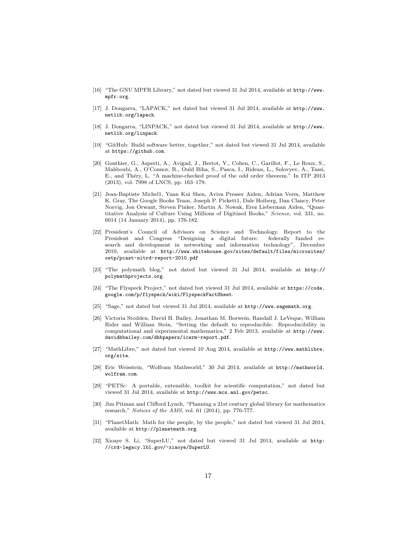- [16] "The GNU MPFR Library," not dated but viewed 31 Jul 2014, available at http://www. mpfr.org.
- [17] J. Dongarra, "LAPACK," not dated but viewed 31 Jul 2014, available at http://www. netlib.org/lapack.
- [18] J. Dongarra, "LINPACK," not dated but viewed 31 Jul 2014, available at http://www. netlib.org/linpack.
- [19] "GitHub: Build software better, together," not dated but viewed 31 Jul 2014, available at https://github.com.
- [20] Gonthier, G., Asperti, A., Avigad, J., Bertot, Y., Cohen, C., Garillot, F., Le Roux, S., Mahboubi, A., O'Connor, R., Ould Biha, S., Pasca, I., Rideau, L., Solovyev, A., Tassi, E., and Théry, L. "A machine-checked proof of the odd order theorem." In ITP 2013 (2013), vol. 7998 of LNCS, pp. 163–179.
- [21] Jean-Baptiste Michel1, Yuan Kui Shen, Aviva Presser Aiden, Adrian Veres, Matthew K. Gray, The Google Books Team, Joseph P. Pickett1, Dale Hoiberg, Dan Clancy, Peter Norvig, Jon Orwant, Steven Pinker, Martin A. Nowak, Erez Lieberman Aiden, "Quantitative Analysis of Culture Using Millions of Digitized Books," Science, vol. 331, no. 6014 (14 January 2014), pp. 176-182.
- [22] President's Council of Advisors on Science and Technology. Report to the President and Congress "Designing a digital future: federally funded research and development in networking and information technology", December 2010, available at http://www.whitehouse.gov/sites/default/files/microsites/ ostp/pcast-nitrd-report-2010.pdf
- [23] "The polymath blog," not dated but viewed 31 Jul 2014, available at http:// polymathprojects.org.
- [24] "The Flyspeck Project," not dated but viewed 31 Jul 2014, available at https://code. google.com/p/flyspeck/wiki/FlyspeckFactSheet.
- [25] "Sage," not dated but viewed 31 Jul 2014, available at http://www.sagemath.org.
- [26] Victoria Stodden, David H. Bailey, Jonathan M. Borwein, Randall J. LeVeque, William Rider and William Stein, "Setting the default to reproducible: Reproducibility in computational and experimental mathematics," 2 Feb 2013, available at http://www. davidhbailey.com/dhbpapers/icerm-report.pdf.
- [27] "MathLibre," not dated but viewed 10 Aug 2014, available at http://www.mathlibre. org/site.
- [28] Eric Weisstein, "Wolfram Mathworld," 30 Jul 2014, available at http://mathworld. wolfram.com.
- [29] "PETSc: A portable, extensible, toolkit for scientific computation," not dated but viewed 31 Jul 2014, available at http://www.mcs.anl.gov/petsc.
- [30] Jim Pitman and Clifford Lynch, "Planning a 21st century global library for mathematics research," Notices of the AMS, vol. 61 (2014), pp. 776-777.
- [31] "PlanetMath: Math for the people, by the people," not dated but viewed 31 Jul 2014, available at http://planetmath.org.
- [32] Xioaye S. Li, "SuperLU," not dated but viewed 31 Jul 2014, available at http: //crd-legacy.lbl.gov/~xiaoye/SuperLU.